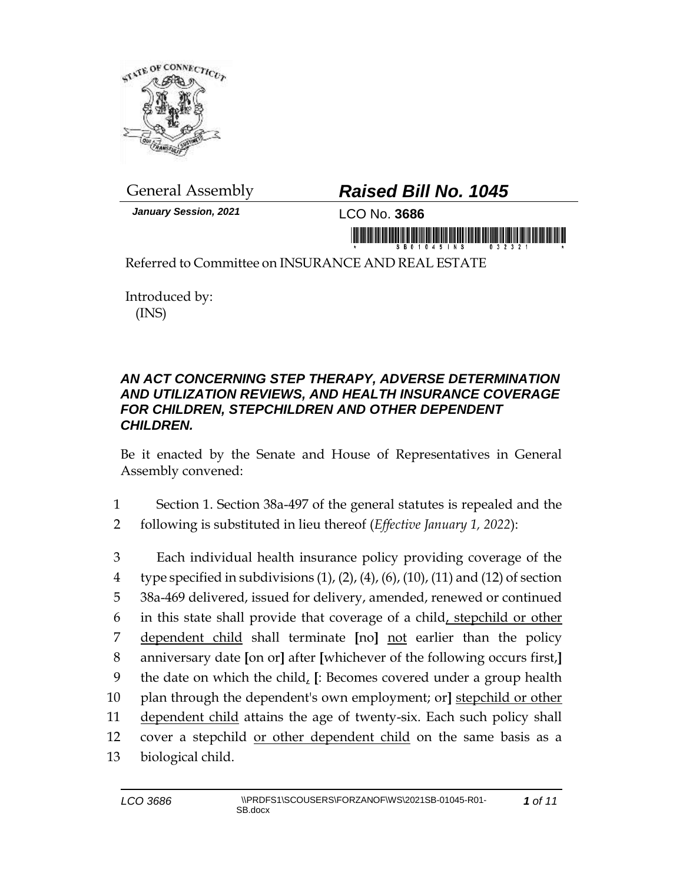

*January Session, 2021* LCO No. **3686**

## General Assembly *Raised Bill No. 1045*

in monomi dei inici inici inici de monti inici inici in monomi

Referred to Committee on INSURANCE AND REAL ESTATE

Introduced by: (INS)

## *AN ACT CONCERNING STEP THERAPY, ADVERSE DETERMINATION AND UTILIZATION REVIEWS, AND HEALTH INSURANCE COVERAGE FOR CHILDREN, STEPCHILDREN AND OTHER DEPENDENT CHILDREN.*

Be it enacted by the Senate and House of Representatives in General Assembly convened:

- 1 Section 1. Section 38a-497 of the general statutes is repealed and the
- 2 following is substituted in lieu thereof (*Effective January 1, 2022*):

 Each individual health insurance policy providing coverage of the 4 type specified in subdivisions  $(1)$ ,  $(2)$ ,  $(4)$ ,  $(6)$ ,  $(10)$ ,  $(11)$  and  $(12)$  of section 38a-469 delivered, issued for delivery, amended, renewed or continued in this state shall provide that coverage of a child, stepchild or other dependent child shall terminate **[**no**]** not earlier than the policy anniversary date **[**on or**]** after **[**whichever of the following occurs first,**]** the date on which the child, **[**: Becomes covered under a group health plan through the dependent's own employment; or**]** stepchild or other dependent child attains the age of twenty-six. Each such policy shall cover a stepchild or other dependent child on the same basis as a biological child.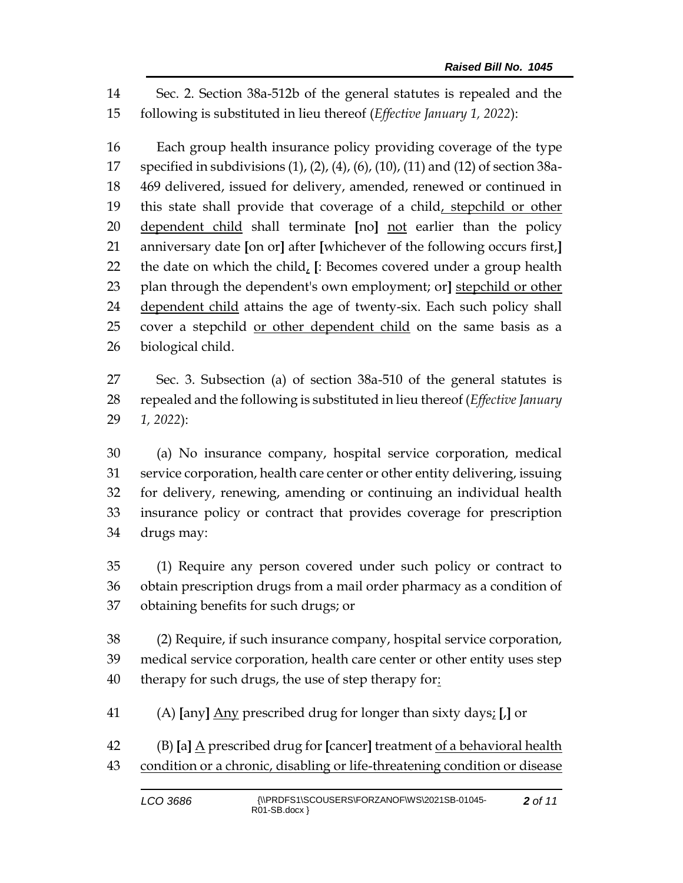Sec. 2. Section 38a-512b of the general statutes is repealed and the following is substituted in lieu thereof (*Effective January 1, 2022*):

 Each group health insurance policy providing coverage of the type specified in subdivisions (1), (2), (4), (6), (10), (11) and (12) of section 38a- 469 delivered, issued for delivery, amended, renewed or continued in 19 this state shall provide that coverage of a child, stepchild or other dependent child shall terminate **[**no**]** not earlier than the policy anniversary date **[**on or**]** after **[**whichever of the following occurs first,**]** the date on which the child, **[**: Becomes covered under a group health plan through the dependent's own employment; or**]** stepchild or other dependent child attains the age of twenty-six. Each such policy shall cover a stepchild or other dependent child on the same basis as a biological child.

 Sec. 3. Subsection (a) of section 38a-510 of the general statutes is repealed and the following is substituted in lieu thereof (*Effective January 1, 2022*):

 (a) No insurance company, hospital service corporation, medical service corporation, health care center or other entity delivering, issuing for delivery, renewing, amending or continuing an individual health insurance policy or contract that provides coverage for prescription drugs may:

 (1) Require any person covered under such policy or contract to obtain prescription drugs from a mail order pharmacy as a condition of obtaining benefits for such drugs; or

 (2) Require, if such insurance company, hospital service corporation, medical service corporation, health care center or other entity uses step 40 therapy for such drugs, the use of step therapy for:

(A) **[**any**]** Any prescribed drug for longer than sixty days; **[**,**]** or

 (B) **[**a**]** A prescribed drug for **[**cancer**]** treatment of a behavioral health condition or a chronic, disabling or life-threatening condition or disease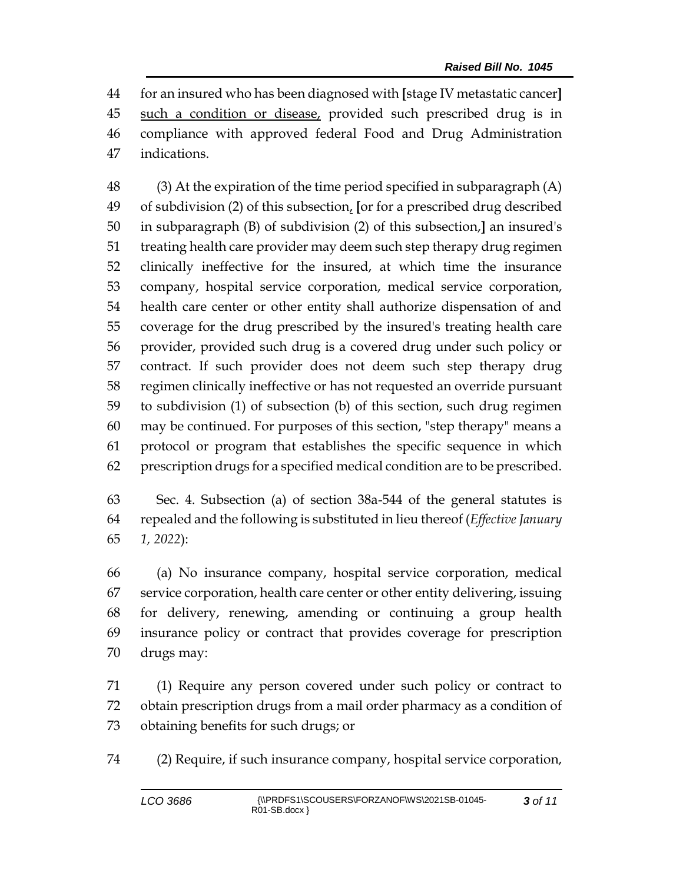for an insured who has been diagnosed with **[**stage IV metastatic cancer**]** such a condition or disease, provided such prescribed drug is in compliance with approved federal Food and Drug Administration indications.

 (3) At the expiration of the time period specified in subparagraph (A) of subdivision (2) of this subsection, **[**or for a prescribed drug described in subparagraph (B) of subdivision (2) of this subsection,**]** an insured's treating health care provider may deem such step therapy drug regimen clinically ineffective for the insured, at which time the insurance company, hospital service corporation, medical service corporation, health care center or other entity shall authorize dispensation of and coverage for the drug prescribed by the insured's treating health care provider, provided such drug is a covered drug under such policy or contract. If such provider does not deem such step therapy drug regimen clinically ineffective or has not requested an override pursuant to subdivision (1) of subsection (b) of this section, such drug regimen may be continued. For purposes of this section, "step therapy" means a protocol or program that establishes the specific sequence in which prescription drugs for a specified medical condition are to be prescribed.

 Sec. 4. Subsection (a) of section 38a-544 of the general statutes is repealed and the following is substituted in lieu thereof (*Effective January 1, 2022*):

 (a) No insurance company, hospital service corporation, medical service corporation, health care center or other entity delivering, issuing for delivery, renewing, amending or continuing a group health insurance policy or contract that provides coverage for prescription drugs may:

 (1) Require any person covered under such policy or contract to obtain prescription drugs from a mail order pharmacy as a condition of obtaining benefits for such drugs; or

(2) Require, if such insurance company, hospital service corporation,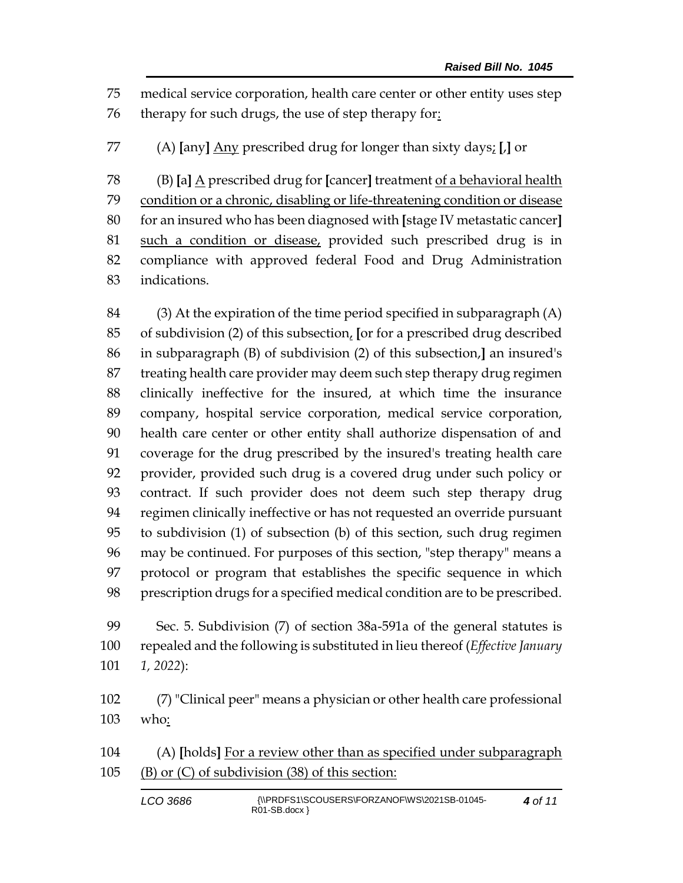medical service corporation, health care center or other entity uses step therapy for such drugs, the use of step therapy for:

(A) **[**any**]** Any prescribed drug for longer than sixty days; **[**,**]** or

 (B) **[**a**]** A prescribed drug for **[**cancer**]** treatment of a behavioral health condition or a chronic, disabling or life-threatening condition or disease for an insured who has been diagnosed with **[**stage IV metastatic cancer**]** such a condition or disease, provided such prescribed drug is in compliance with approved federal Food and Drug Administration indications.

 (3) At the expiration of the time period specified in subparagraph (A) of subdivision (2) of this subsection, **[**or for a prescribed drug described in subparagraph (B) of subdivision (2) of this subsection,**]** an insured's treating health care provider may deem such step therapy drug regimen clinically ineffective for the insured, at which time the insurance company, hospital service corporation, medical service corporation, health care center or other entity shall authorize dispensation of and coverage for the drug prescribed by the insured's treating health care provider, provided such drug is a covered drug under such policy or contract. If such provider does not deem such step therapy drug regimen clinically ineffective or has not requested an override pursuant to subdivision (1) of subsection (b) of this section, such drug regimen may be continued. For purposes of this section, "step therapy" means a protocol or program that establishes the specific sequence in which prescription drugs for a specified medical condition are to be prescribed.

 Sec. 5. Subdivision (7) of section 38a-591a of the general statutes is repealed and the following is substituted in lieu thereof (*Effective January 1, 2022*):

 (7) "Clinical peer" means a physician or other health care professional who:

 (A) **[**holds**]** For a review other than as specified under subparagraph (B) or (C) of subdivision (38) of this section:

| LCO 3686 | {\\PRDFS1\SCOUSERS\FORZANOF\WS\2021SB-01045-<br>$RO1-SB.docx$ | 4 of 11 |
|----------|---------------------------------------------------------------|---------|
|----------|---------------------------------------------------------------|---------|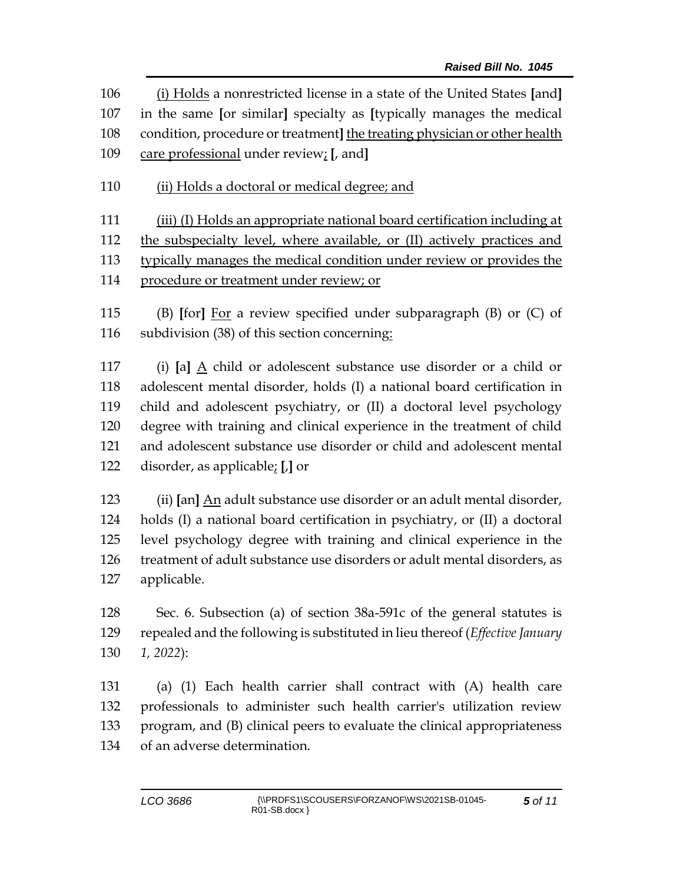(i) Holds a nonrestricted license in a state of the United States **[**and**]** in the same **[**or similar**]** specialty as **[**typically manages the medical condition, procedure or treatment**]** the treating physician or other health care professional under review; **[**, and**]**

110 (ii) Holds a doctoral or medical degree; and

 (iii) (I) Holds an appropriate national board certification including at the subspecialty level, where available, or (II) actively practices and typically manages the medical condition under review or provides the

procedure or treatment under review; or

 (B) **[**for**]** For a review specified under subparagraph (B) or (C) of subdivision (38) of this section concerning:

 (i) **[**a**]** A child or adolescent substance use disorder or a child or adolescent mental disorder, holds (I) a national board certification in child and adolescent psychiatry, or (II) a doctoral level psychology degree with training and clinical experience in the treatment of child and adolescent substance use disorder or child and adolescent mental disorder, as applicable; **[**,**]** or

 (ii) **[**an**]** An adult substance use disorder or an adult mental disorder, holds (I) a national board certification in psychiatry, or (II) a doctoral level psychology degree with training and clinical experience in the treatment of adult substance use disorders or adult mental disorders, as applicable.

 Sec. 6. Subsection (a) of section 38a-591c of the general statutes is repealed and the following is substituted in lieu thereof (*Effective January 1, 2022*):

 (a) (1) Each health carrier shall contract with (A) health care professionals to administer such health carrier's utilization review program, and (B) clinical peers to evaluate the clinical appropriateness of an adverse determination.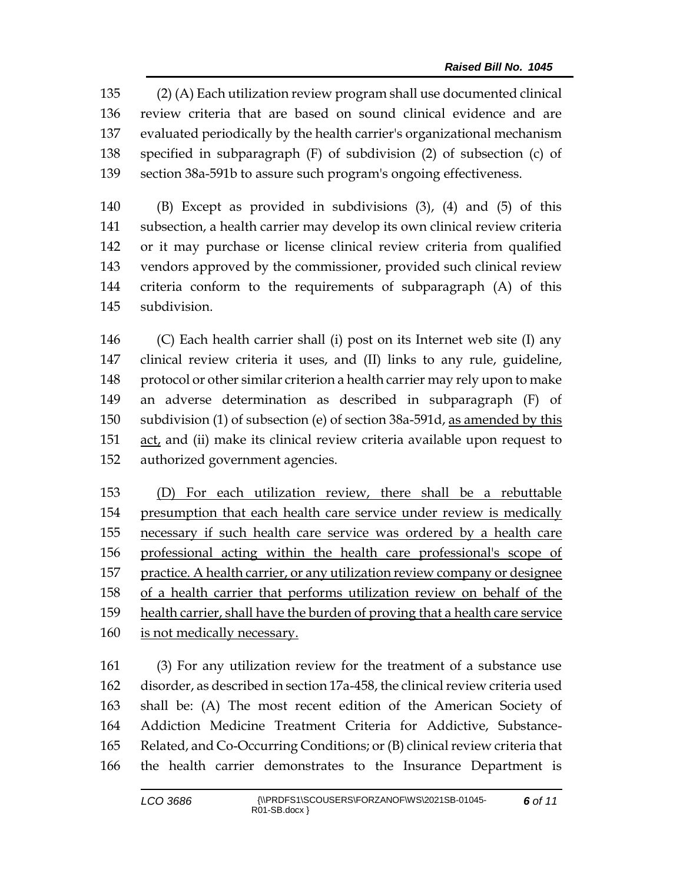(2) (A) Each utilization review program shall use documented clinical review criteria that are based on sound clinical evidence and are evaluated periodically by the health carrier's organizational mechanism specified in subparagraph (F) of subdivision (2) of subsection (c) of section 38a-591b to assure such program's ongoing effectiveness.

 (B) Except as provided in subdivisions (3), (4) and (5) of this subsection, a health carrier may develop its own clinical review criteria or it may purchase or license clinical review criteria from qualified vendors approved by the commissioner, provided such clinical review criteria conform to the requirements of subparagraph (A) of this subdivision.

 (C) Each health carrier shall (i) post on its Internet web site (I) any clinical review criteria it uses, and (II) links to any rule, guideline, protocol or other similar criterion a health carrier may rely upon to make an adverse determination as described in subparagraph (F) of subdivision (1) of subsection (e) of section 38a-591d, as amended by this act, and (ii) make its clinical review criteria available upon request to authorized government agencies.

 (D) For each utilization review, there shall be a rebuttable 154 presumption that each health care service under review is medically necessary if such health care service was ordered by a health care professional acting within the health care professional's scope of practice. A health carrier, or any utilization review company or designee of a health carrier that performs utilization review on behalf of the health carrier, shall have the burden of proving that a health care service is not medically necessary.

 (3) For any utilization review for the treatment of a substance use disorder, as described in section 17a-458, the clinical review criteria used shall be: (A) The most recent edition of the American Society of Addiction Medicine Treatment Criteria for Addictive, Substance- Related, and Co-Occurring Conditions; or (B) clinical review criteria that the health carrier demonstrates to the Insurance Department is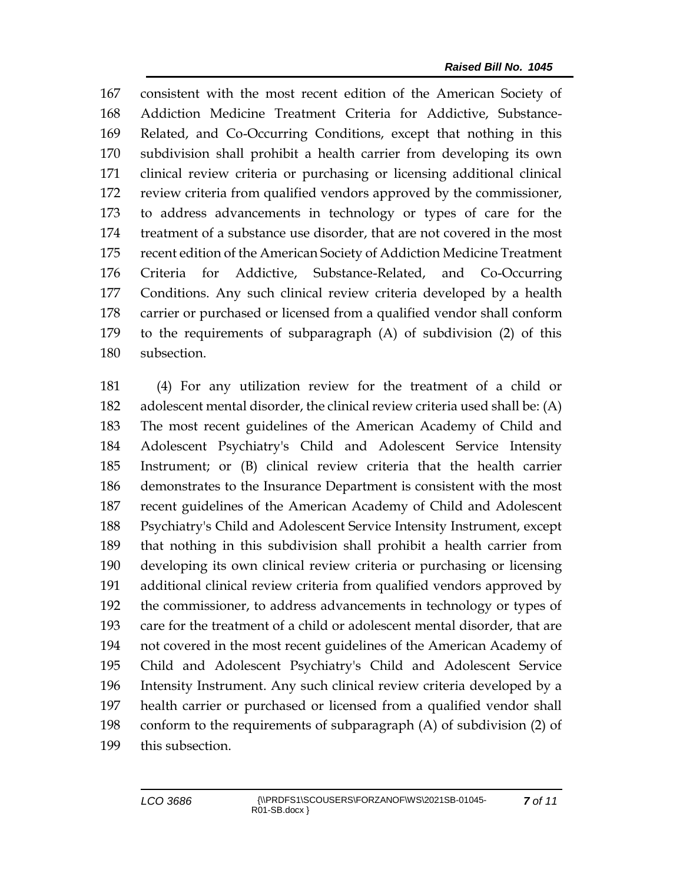consistent with the most recent edition of the American Society of Addiction Medicine Treatment Criteria for Addictive, Substance- Related, and Co-Occurring Conditions, except that nothing in this subdivision shall prohibit a health carrier from developing its own clinical review criteria or purchasing or licensing additional clinical review criteria from qualified vendors approved by the commissioner, to address advancements in technology or types of care for the treatment of a substance use disorder, that are not covered in the most recent edition of the American Society of Addiction Medicine Treatment Criteria for Addictive, Substance-Related, and Co-Occurring Conditions. Any such clinical review criteria developed by a health carrier or purchased or licensed from a qualified vendor shall conform to the requirements of subparagraph (A) of subdivision (2) of this subsection.

 (4) For any utilization review for the treatment of a child or adolescent mental disorder, the clinical review criteria used shall be: (A) The most recent guidelines of the American Academy of Child and Adolescent Psychiatry's Child and Adolescent Service Intensity Instrument; or (B) clinical review criteria that the health carrier demonstrates to the Insurance Department is consistent with the most recent guidelines of the American Academy of Child and Adolescent Psychiatry's Child and Adolescent Service Intensity Instrument, except that nothing in this subdivision shall prohibit a health carrier from developing its own clinical review criteria or purchasing or licensing additional clinical review criteria from qualified vendors approved by the commissioner, to address advancements in technology or types of care for the treatment of a child or adolescent mental disorder, that are not covered in the most recent guidelines of the American Academy of Child and Adolescent Psychiatry's Child and Adolescent Service Intensity Instrument. Any such clinical review criteria developed by a health carrier or purchased or licensed from a qualified vendor shall conform to the requirements of subparagraph (A) of subdivision (2) of this subsection.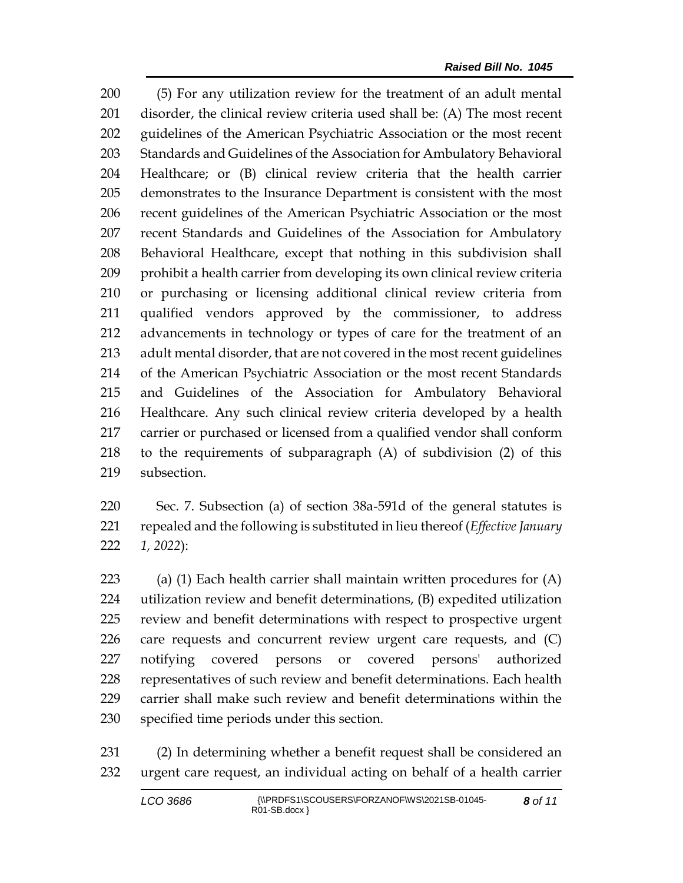(5) For any utilization review for the treatment of an adult mental disorder, the clinical review criteria used shall be: (A) The most recent guidelines of the American Psychiatric Association or the most recent Standards and Guidelines of the Association for Ambulatory Behavioral Healthcare; or (B) clinical review criteria that the health carrier demonstrates to the Insurance Department is consistent with the most recent guidelines of the American Psychiatric Association or the most recent Standards and Guidelines of the Association for Ambulatory Behavioral Healthcare, except that nothing in this subdivision shall prohibit a health carrier from developing its own clinical review criteria or purchasing or licensing additional clinical review criteria from qualified vendors approved by the commissioner, to address advancements in technology or types of care for the treatment of an adult mental disorder, that are not covered in the most recent guidelines of the American Psychiatric Association or the most recent Standards and Guidelines of the Association for Ambulatory Behavioral Healthcare. Any such clinical review criteria developed by a health carrier or purchased or licensed from a qualified vendor shall conform to the requirements of subparagraph (A) of subdivision (2) of this subsection.

 Sec. 7. Subsection (a) of section 38a-591d of the general statutes is repealed and the following is substituted in lieu thereof (*Effective January 1, 2022*):

223 (a) (1) Each health carrier shall maintain written procedures for  $(A)$  utilization review and benefit determinations, (B) expedited utilization review and benefit determinations with respect to prospective urgent care requests and concurrent review urgent care requests, and (C) notifying covered persons or covered persons' authorized representatives of such review and benefit determinations. Each health carrier shall make such review and benefit determinations within the specified time periods under this section.

 (2) In determining whether a benefit request shall be considered an urgent care request, an individual acting on behalf of a health carrier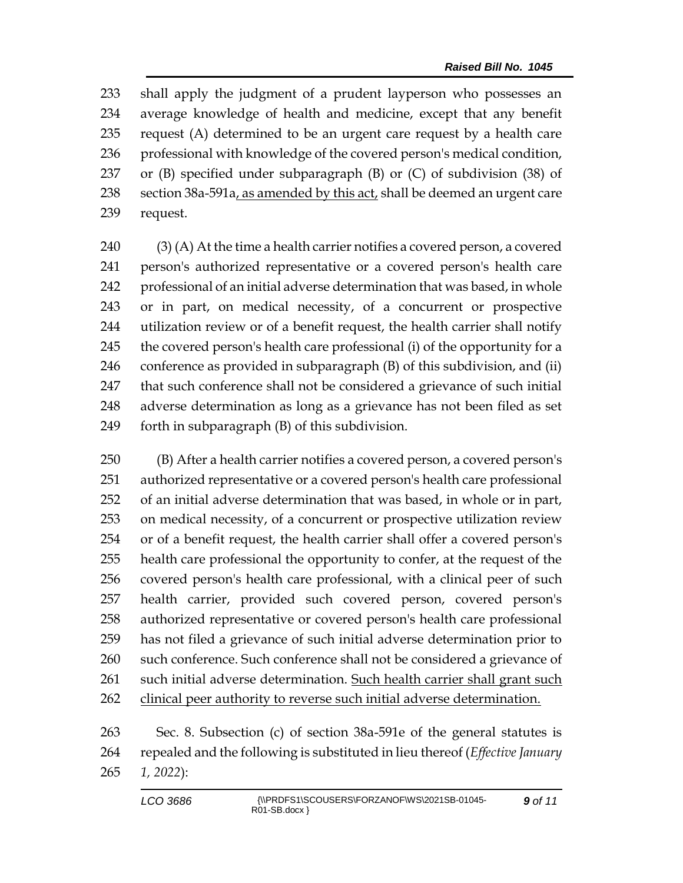shall apply the judgment of a prudent layperson who possesses an average knowledge of health and medicine, except that any benefit request (A) determined to be an urgent care request by a health care 236 professional with knowledge of the covered person's medical condition, or (B) specified under subparagraph (B) or (C) of subdivision (38) of 238 section  $38a-591a$ , as amended by this act, shall be deemed an urgent care request.

 (3) (A) At the time a health carrier notifies a covered person, a covered person's authorized representative or a covered person's health care professional of an initial adverse determination that was based, in whole or in part, on medical necessity, of a concurrent or prospective utilization review or of a benefit request, the health carrier shall notify the covered person's health care professional (i) of the opportunity for a conference as provided in subparagraph (B) of this subdivision, and (ii) that such conference shall not be considered a grievance of such initial adverse determination as long as a grievance has not been filed as set forth in subparagraph (B) of this subdivision.

 (B) After a health carrier notifies a covered person, a covered person's authorized representative or a covered person's health care professional of an initial adverse determination that was based, in whole or in part, on medical necessity, of a concurrent or prospective utilization review or of a benefit request, the health carrier shall offer a covered person's health care professional the opportunity to confer, at the request of the covered person's health care professional, with a clinical peer of such health carrier, provided such covered person, covered person's authorized representative or covered person's health care professional has not filed a grievance of such initial adverse determination prior to 260 such conference. Such conference shall not be considered a grievance of such initial adverse determination. Such health carrier shall grant such 262 clinical peer authority to reverse such initial adverse determination.

 Sec. 8. Subsection (c) of section 38a-591e of the general statutes is repealed and the following is substituted in lieu thereof (*Effective January 1, 2022*):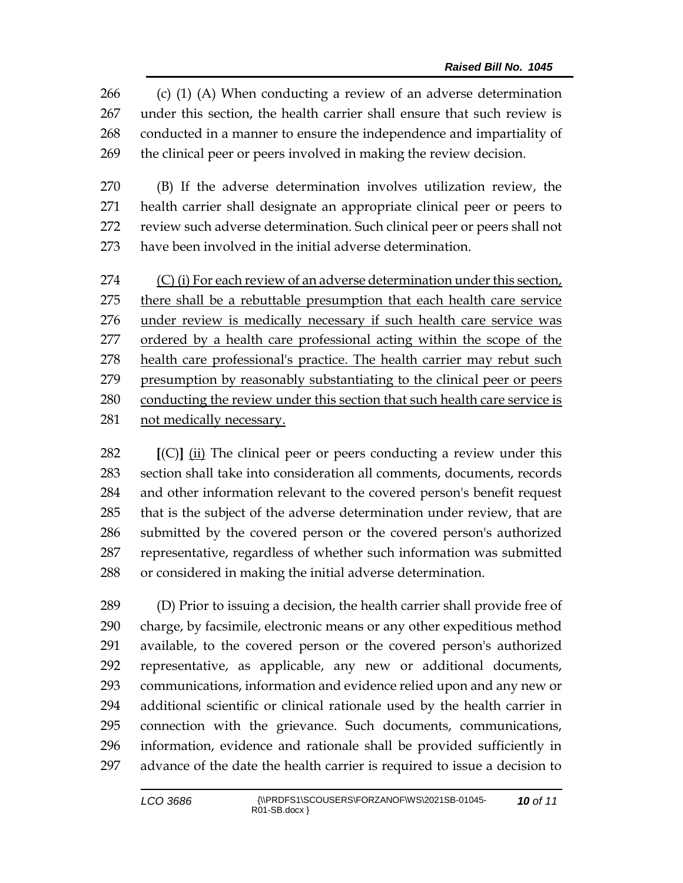(c) (1) (A) When conducting a review of an adverse determination under this section, the health carrier shall ensure that such review is conducted in a manner to ensure the independence and impartiality of the clinical peer or peers involved in making the review decision.

 (B) If the adverse determination involves utilization review, the health carrier shall designate an appropriate clinical peer or peers to review such adverse determination. Such clinical peer or peers shall not have been involved in the initial adverse determination.

274 (C) (i) For each review of an adverse determination under this section, there shall be a rebuttable presumption that each health care service under review is medically necessary if such health care service was ordered by a health care professional acting within the scope of the 278 health care professional's practice. The health carrier may rebut such presumption by reasonably substantiating to the clinical peer or peers conducting the review under this section that such health care service is not medically necessary.

 **[**(C)**]** (ii) The clinical peer or peers conducting a review under this section shall take into consideration all comments, documents, records and other information relevant to the covered person's benefit request that is the subject of the adverse determination under review, that are submitted by the covered person or the covered person's authorized representative, regardless of whether such information was submitted or considered in making the initial adverse determination.

 (D) Prior to issuing a decision, the health carrier shall provide free of charge, by facsimile, electronic means or any other expeditious method available, to the covered person or the covered person's authorized representative, as applicable, any new or additional documents, communications, information and evidence relied upon and any new or additional scientific or clinical rationale used by the health carrier in connection with the grievance. Such documents, communications, information, evidence and rationale shall be provided sufficiently in advance of the date the health carrier is required to issue a decision to